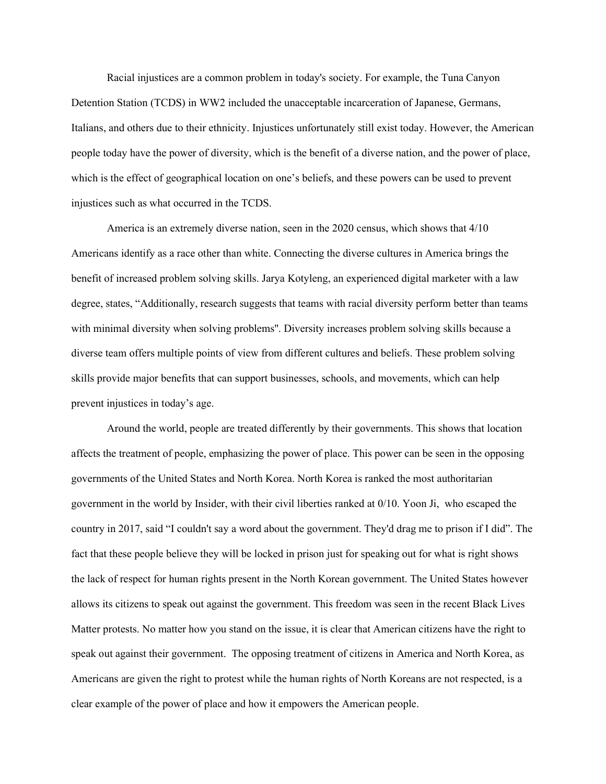Racial injustices are a common problem in today's society. For example, the Tuna Canyon Detention Station (TCDS) in WW2 included the unacceptable incarceration of Japanese, Germans, Italians, and others due to their ethnicity. Injustices unfortunately still exist today. However, the American people today have the power of diversity, which is the benefit of a diverse nation, and the power of place, which is the effect of geographical location on one's beliefs, and these powers can be used to prevent injustices such as what occurred in the TCDS.

 America is an extremely diverse nation, seen in the 2020 census, which shows that 4/10 Americans identify as a race other than white. Connecting the diverse cultures in America brings the benefit of increased problem solving skills. Jarya Kotyleng, an experienced digital marketer with a law degree, states, "Additionally, research suggests that teams with racial diversity perform better than teams with minimal diversity when solving problems''. Diversity increases problem solving skills because a diverse team offers multiple points of view from different cultures and beliefs. These problem solving skills provide major benefits that can support businesses, schools, and movements, which can help prevent injustices in today's age.

 Around the world, people are treated differently by their governments. This shows that location affects the treatment of people, emphasizing the power of place. This power can be seen in the opposing governments of the United States and North Korea. North Korea is ranked the most authoritarian government in the world by Insider, with their civil liberties ranked at 0/10. Yoon Ji, who escaped the country in 2017, said "I couldn't say a word about the government. They'd drag me to prison if I did". The fact that these people believe they will be locked in prison just for speaking out for what is right shows the lack of respect for human rights present in the North Korean government. The United States however allows its citizens to speak out against the government. This freedom was seen in the recent Black Lives Matter protests. No matter how you stand on the issue, it is clear that American citizens have the right to speak out against their government. The opposing treatment of citizens in America and North Korea, as Americans are given the right to protest while the human rights of North Koreans are not respected, is a clear example of the power of place and how it empowers the American people.